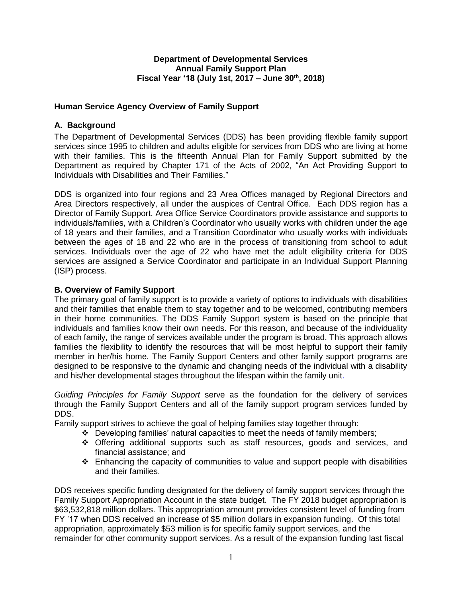#### **Department of Developmental Services Annual Family Support Plan Fiscal Year '18 (July 1st, 2017 – June 30th , 2018)**

# **Human Service Agency Overview of Family Support**

# **A. Background**

The Department of Developmental Services (DDS) has been providing flexible family support services since 1995 to children and adults eligible for services from DDS who are living at home with their families. This is the fifteenth Annual Plan for Family Support submitted by the Department as required by Chapter 171 of the Acts of 2002, "An Act Providing Support to Individuals with Disabilities and Their Families."

DDS is organized into four regions and 23 Area Offices managed by Regional Directors and Area Directors respectively, all under the auspices of Central Office. Each DDS region has a Director of Family Support. Area Office Service Coordinators provide assistance and supports to individuals/families, with a Children's Coordinator who usually works with children under the age of 18 years and their families, and a Transition Coordinator who usually works with individuals between the ages of 18 and 22 who are in the process of transitioning from school to adult services. Individuals over the age of 22 who have met the adult eligibility criteria for DDS services are assigned a Service Coordinator and participate in an Individual Support Planning (ISP) process.

# **B. Overview of Family Support**

The primary goal of family support is to provide a variety of options to individuals with disabilities and their families that enable them to stay together and to be welcomed, contributing members in their home communities. The DDS Family Support system is based on the principle that individuals and families know their own needs. For this reason, and because of the individuality of each family, the range of services available under the program is broad. This approach allows families the flexibility to identify the resources that will be most helpful to support their family member in her/his home. The Family Support Centers and other family support programs are designed to be responsive to the dynamic and changing needs of the individual with a disability and his/her developmental stages throughout the lifespan within the family unit.

*Guiding Principles for Family Support* serve as the foundation for the delivery of services through the Family Support Centers and all of the family support program services funded by DDS.

Family support strives to achieve the goal of helping families stay together through:

- $\div$  Developing families' natural capacities to meet the needs of family members;
- ❖ Offering additional supports such as staff resources, goods and services, and financial assistance; and
- $\div$  Enhancing the capacity of communities to value and support people with disabilities and their families.

DDS receives specific funding designated for the delivery of family support services through the Family Support Appropriation Account in the state budget. The FY 2018 budget appropriation is \$63,532,818 million dollars. This appropriation amount provides consistent level of funding from FY '17 when DDS received an increase of \$5 million dollars in expansion funding. Of this total appropriation, approximately \$53 million is for specific family support services, and the remainder for other community support services. As a result of the expansion funding last fiscal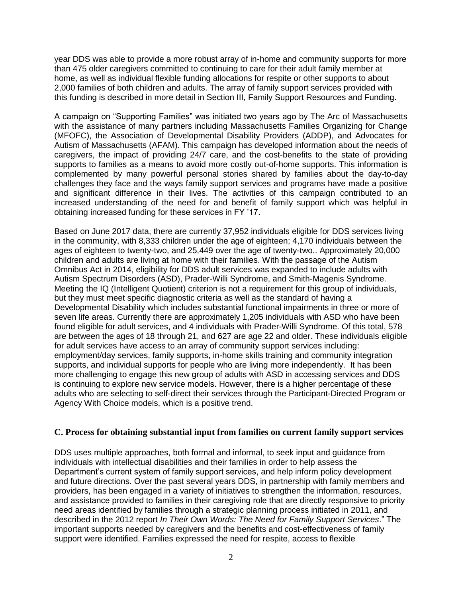year DDS was able to provide a more robust array of in-home and community supports for more than 475 older caregivers committed to continuing to care for their adult family member at home, as well as individual flexible funding allocations for respite or other supports to about 2,000 families of both children and adults. The array of family support services provided with this funding is described in more detail in Section III, Family Support Resources and Funding.

A campaign on "Supporting Families" was initiated two years ago by The Arc of Massachusetts with the assistance of many partners including Massachusetts Families Organizing for Change (MFOFC), the Association of Developmental Disability Providers (ADDP), and Advocates for Autism of Massachusetts (AFAM). This campaign has developed information about the needs of caregivers, the impact of providing 24/7 care, and the cost-benefits to the state of providing supports to families as a means to avoid more costly out-of-home supports. This information is complemented by many powerful personal stories shared by families about the day-to-day challenges they face and the ways family support services and programs have made a positive and significant difference in their lives. The activities of this campaign contributed to an increased understanding of the need for and benefit of family support which was helpful in obtaining increased funding for these services in FY '17.

Based on June 2017 data, there are currently 37,952 individuals eligible for DDS services living in the community, with 8,333 children under the age of eighteen; 4,170 individuals between the ages of eighteen to twenty-two, and 25,449 over the age of twenty-two.. Approximately 20,000 children and adults are living at home with their families. With the passage of the Autism Omnibus Act in 2014, eligibility for DDS adult services was expanded to include adults with Autism Spectrum Disorders (ASD), Prader-Willi Syndrome, and Smith-Magenis Syndrome. Meeting the IQ (Intelligent Quotient) criterion is not a requirement for this group of individuals, but they must meet specific diagnostic criteria as well as the standard of having a Developmental Disability which includes substantial functional impairments in three or more of seven life areas. Currently there are approximately 1,205 individuals with ASD who have been found eligible for adult services, and 4 individuals with Prader-Willi Syndrome. Of this total, 578 are between the ages of 18 through 21, and 627 are age 22 and older. These individuals eligible for adult services have access to an array of community support services including: employment/day services, family supports, in-home skills training and community integration supports, and individual supports for people who are living more independently. It has been more challenging to engage this new group of adults with ASD in accessing services and DDS is continuing to explore new service models. However, there is a higher percentage of these adults who are selecting to self-direct their services through the Participant-Directed Program or Agency With Choice models, which is a positive trend.

## **C. Process for obtaining substantial input from families on current family support services**

DDS uses multiple approaches, both formal and informal, to seek input and guidance from individuals with intellectual disabilities and their families in order to help assess the Department's current system of family support services, and help inform policy development and future directions. Over the past several years DDS, in partnership with family members and providers, has been engaged in a variety of initiatives to strengthen the information, resources, and assistance provided to families in their caregiving role that are directly responsive to priority need areas identified by families through a strategic planning process initiated in 2011, and described in the 2012 report *In Their Own Words: The Need for Family Support Services*." The important supports needed by caregivers and the benefits and cost-effectiveness of family support were identified. Families expressed the need for respite, access to flexible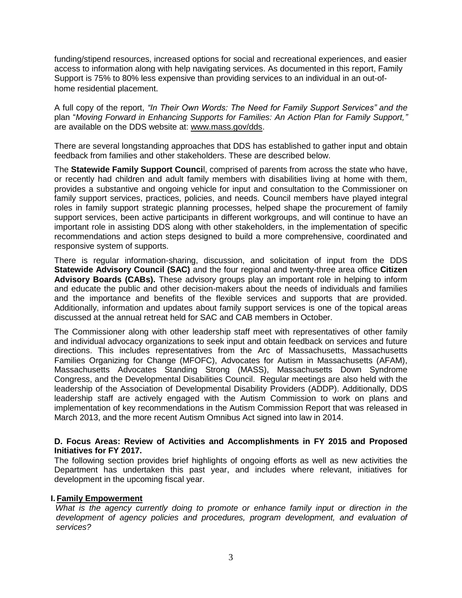funding/stipend resources, increased options for social and recreational experiences, and easier access to information along with help navigating services. As documented in this report, Family Support is 75% to 80% less expensive than providing services to an individual in an out-ofhome residential placement.

A full copy of the report, *"In Their Own Words: The Need for Family Support Services" and the*  plan "*Moving Forward in Enhancing Supports for Families: An Action Plan for Family Support,"* are available on the DDS website at: [www.mass.gov/dds.](http://www.mass.gov/dds)

There are several longstanding approaches that DDS has established to gather input and obtain feedback from families and other stakeholders. These are described below.

The **Statewide Family Support Counci**l, comprised of parents from across the state who have, or recently had children and adult family members with disabilities living at home with them, provides a substantive and ongoing vehicle for input and consultation to the Commissioner on family support services, practices, policies, and needs. Council members have played integral roles in family support strategic planning processes, helped shape the procurement of family support services, been active participants in different workgroups, and will continue to have an important role in assisting DDS along with other stakeholders, in the implementation of specific recommendations and action steps designed to build a more comprehensive, coordinated and responsive system of supports.

There is regular information-sharing, discussion, and solicitation of input from the DDS **Statewide Advisory Council (SAC)** and the four regional and twenty-three area office **Citizen Advisory Boards (CABs).** These advisory groups play an important role in helping to inform and educate the public and other decision-makers about the needs of individuals and families and the importance and benefits of the flexible services and supports that are provided. Additionally, information and updates about family support services is one of the topical areas discussed at the annual retreat held for SAC and CAB members in October.

The Commissioner along with other leadership staff meet with representatives of other family and individual advocacy organizations to seek input and obtain feedback on services and future directions. This includes representatives from the Arc of Massachusetts, Massachusetts Families Organizing for Change (MFOFC), Advocates for Autism in Massachusetts (AFAM), Massachusetts Advocates Standing Strong (MASS), Massachusetts Down Syndrome Congress, and the Developmental Disabilities Council. Regular meetings are also held with the leadership of the Association of Developmental Disability Providers (ADDP). Additionally, DDS leadership staff are actively engaged with the Autism Commission to work on plans and implementation of key recommendations in the Autism Commission Report that was released in March 2013, and the more recent Autism Omnibus Act signed into law in 2014.

#### **D. Focus Areas: Review of Activities and Accomplishments in FY 2015 and Proposed Initiatives for FY 2017.**

The following section provides brief highlights of ongoing efforts as well as new activities the Department has undertaken this past year, and includes where relevant, initiatives for development in the upcoming fiscal year.

## **I. Family Empowerment**

*What is the agency currently doing to promote or enhance family input or direction in the development of agency policies and procedures, program development, and evaluation of services?*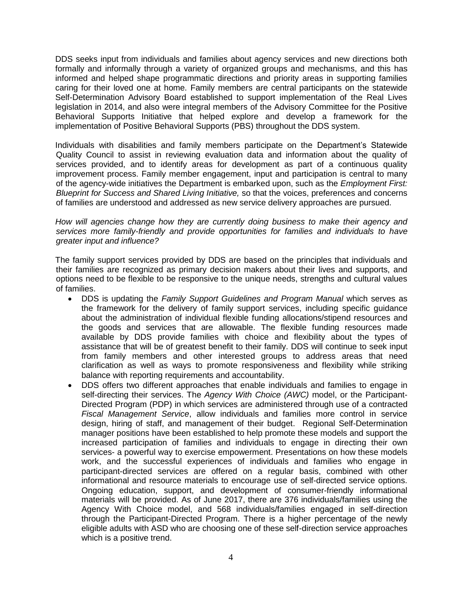DDS seeks input from individuals and families about agency services and new directions both formally and informally through a variety of organized groups and mechanisms, and this has informed and helped shape programmatic directions and priority areas in supporting families caring for their loved one at home. Family members are central participants on the statewide Self-Determination Advisory Board established to support implementation of the Real Lives legislation in 2014, and also were integral members of the Advisory Committee for the Positive Behavioral Supports Initiative that helped explore and develop a framework for the implementation of Positive Behavioral Supports (PBS) throughout the DDS system.

Individuals with disabilities and family members participate on the Department's Statewide Quality Council to assist in reviewing evaluation data and information about the quality of services provided, and to identify areas for development as part of a continuous quality improvement process. Family member engagement, input and participation is central to many of the agency-wide initiatives the Department is embarked upon, such as the *Employment First: Blueprint for Success and Shared Living Initiative,* so that the voices, preferences and concerns of families are understood and addressed as new service delivery approaches are pursued.

#### *How will agencies change how they are currently doing business to make their agency and services more family-friendly and provide opportunities for families and individuals to have greater input and influence?*

The family support services provided by DDS are based on the principles that individuals and their families are recognized as primary decision makers about their lives and supports, and options need to be flexible to be responsive to the unique needs, strengths and cultural values of families.

- DDS is updating the *Family Support Guidelines and Program Manual* which serves as the framework for the delivery of family support services, including specific guidance about the administration of individual flexible funding allocations/stipend resources and the goods and services that are allowable. The flexible funding resources made available by DDS provide families with choice and flexibility about the types of assistance that will be of greatest benefit to their family. DDS will continue to seek input from family members and other interested groups to address areas that need clarification as well as ways to promote responsiveness and flexibility while striking balance with reporting requirements and accountability.
- DDS offers two different approaches that enable individuals and families to engage in self-directing their services. The *Agency With Choice (AWC)* model, or the Participant-Directed Program (PDP) in which services are administered through use of a contracted *Fiscal Management Service*, allow individuals and families more control in service design, hiring of staff, and management of their budget. Regional Self-Determination manager positions have been established to help promote these models and support the increased participation of families and individuals to engage in directing their own services- a powerful way to exercise empowerment. Presentations on how these models work, and the successful experiences of individuals and families who engage in participant-directed services are offered on a regular basis, combined with other informational and resource materials to encourage use of self-directed service options. Ongoing education, support, and development of consumer-friendly informational materials will be provided. As of June 2017, there are 376 individuals/families using the Agency With Choice model, and 568 individuals/families engaged in self-direction through the Participant-Directed Program. There is a higher percentage of the newly eligible adults with ASD who are choosing one of these self-direction service approaches which is a positive trend.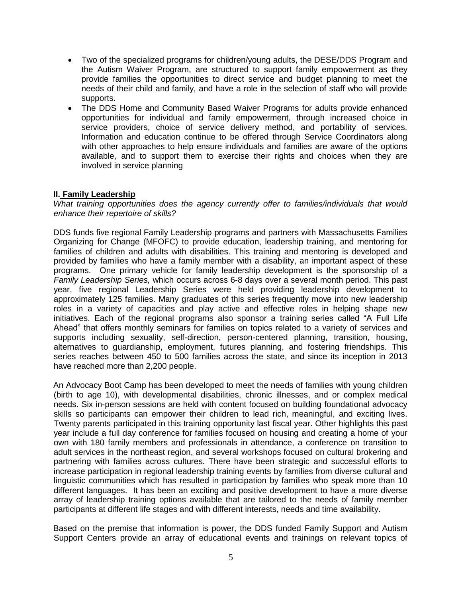- Two of the specialized programs for children/young adults, the DESE/DDS Program and the Autism Waiver Program, are structured to support family empowerment as they provide families the opportunities to direct service and budget planning to meet the needs of their child and family, and have a role in the selection of staff who will provide supports.
- The DDS Home and Community Based Waiver Programs for adults provide enhanced opportunities for individual and family empowerment, through increased choice in service providers, choice of service delivery method, and portability of services. Information and education continue to be offered through Service Coordinators along with other approaches to help ensure individuals and families are aware of the options available, and to support them to exercise their rights and choices when they are involved in service planning

#### **II. Family Leadership**

*What training opportunities does the agency currently offer to families/individuals that would enhance their repertoire of skills?*

DDS funds five regional Family Leadership programs and partners with Massachusetts Families Organizing for Change (MFOFC) to provide education, leadership training, and mentoring for families of children and adults with disabilities. This training and mentoring is developed and provided by families who have a family member with a disability, an important aspect of these programs. One primary vehicle for family leadership development is the sponsorship of a *Family Leadership Series,* which occurs across 6-8 days over a several month period. This past year, five regional Leadership Series were held providing leadership development to approximately 125 families. Many graduates of this series frequently move into new leadership roles in a variety of capacities and play active and effective roles in helping shape new initiatives. Each of the regional programs also sponsor a training series called "A Full Life Ahead" that offers monthly seminars for families on topics related to a variety of services and supports including sexuality, self-direction, person-centered planning, transition, housing, alternatives to guardianship, employment, futures planning, and fostering friendships. This series reaches between 450 to 500 families across the state, and since its inception in 2013 have reached more than 2,200 people.

An Advocacy Boot Camp has been developed to meet the needs of families with young children (birth to age 10), with developmental disabilities, chronic illnesses, and or complex medical needs. Six in-person sessions are held with content focused on building foundational advocacy skills so participants can empower their children to lead rich, meaningful, and exciting lives. Twenty parents participated in this training opportunity last fiscal year. Other highlights this past year include a full day conference for families focused on housing and creating a home of your own with 180 family members and professionals in attendance, a conference on transition to adult services in the northeast region, and several workshops focused on cultural brokering and partnering with families across cultures. There have been strategic and successful efforts to increase participation in regional leadership training events by families from diverse cultural and linguistic communities which has resulted in participation by families who speak more than 10 different languages. It has been an exciting and positive development to have a more diverse array of leadership training options available that are tailored to the needs of family member participants at different life stages and with different interests, needs and time availability.

Based on the premise that information is power, the DDS funded Family Support and Autism Support Centers provide an array of educational events and trainings on relevant topics of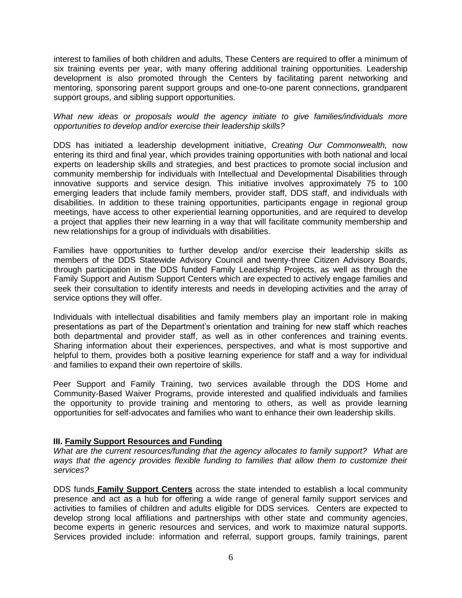interest to families of both children and adults, These Centers are required to offer a minimum of six training events per year, with many offering additional training opportunities. Leadership development is also promoted through the Centers by facilitating parent networking and mentoring, sponsoring parent support groups and one-to-one parent connections, grandparent support groups, and sibling support opportunities.

*What new ideas or proposals would the agency initiate to give families/individuals more opportunities to develop and/or exercise their leadership skills?*

DDS has initiated a leadership development initiative, *Creating Our Commonwealth,* now entering its third and final year, which provides training opportunities with both national and local experts on leadership skills and strategies, and best practices to promote social inclusion and community membership for individuals with Intellectual and Developmental Disabilities through innovative supports and service design. This initiative involves approximately 75 to 100 emerging leaders that include family members, provider staff, DDS staff, and individuals with disabilities. In addition to these training opportunities, participants engage in regional group meetings, have access to other experiential learning opportunities, and are required to develop a project that applies their new learning in a way that will facilitate community membership and new relationships for a group of individuals with disabilities.

Families have opportunities to further develop and/or exercise their leadership skills as members of the DDS Statewide Advisory Council and twenty-three Citizen Advisory Boards, through participation in the DDS funded Family Leadership Projects, as well as through the Family Support and Autism Support Centers which are expected to actively engage families and seek their consultation to identify interests and needs in developing activities and the array of service options they will offer.

Individuals with intellectual disabilities and family members play an important role in making presentations as part of the Department's orientation and training for new staff which reaches both departmental and provider staff, as well as in other conferences and training events. Sharing information about their experiences, perspectives, and what is most supportive and helpful to them, provides both a positive learning experience for staff and a way for individual and families to expand their own repertoire of skills.

Peer Support and Family Training, two services available through the DDS Home and Community-Based Waiver Programs, provide interested and qualified individuals and families the opportunity to provide training and mentoring to others, as well as provide learning opportunities for self-advocates and families who want to enhance their own leadership skills.

## **III. Family Support Resources and Funding**

*What are the current resources/funding that the agency allocates to family support? What are ways that the agency provides flexible funding to families that allow them to customize their services?*

DDS funds **Family Support Centers** across the state intended to establish a local community presence and act as a hub for offering a wide range of general family support services and activities to families of children and adults eligible for DDS services. Centers are expected to develop strong local affiliations and partnerships with other state and community agencies, become experts in generic resources and services, and work to maximize natural supports. Services provided include: information and referral, support groups, family trainings, parent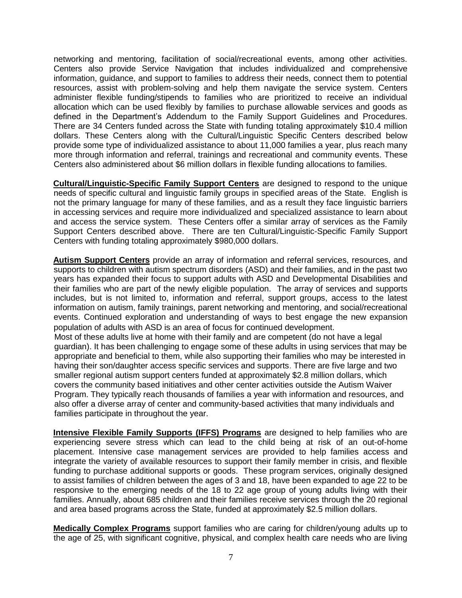networking and mentoring, facilitation of social/recreational events, among other activities. Centers also provide Service Navigation that includes individualized and comprehensive information, guidance, and support to families to address their needs, connect them to potential resources, assist with problem-solving and help them navigate the service system. Centers administer flexible funding/stipends to families who are prioritized to receive an individual allocation which can be used flexibly by families to purchase allowable services and goods as defined in the Department's Addendum to the Family Support Guidelines and Procedures. There are 34 Centers funded across the State with funding totaling approximately \$10.4 million dollars. These Centers along with the Cultural/Linguistic Specific Centers described below provide some type of individualized assistance to about 11,000 families a year, plus reach many more through information and referral, trainings and recreational and community events. These Centers also administered about \$6 million dollars in flexible funding allocations to families.

**Cultural/Linguistic-Specific Family Support Centers** are designed to respond to the unique needs of specific cultural and linguistic family groups in specified areas of the State. English is not the primary language for many of these families, and as a result they face linguistic barriers in accessing services and require more individualized and specialized assistance to learn about and access the service system. These Centers offer a similar array of services as the Family Support Centers described above. There are ten Cultural/Linguistic-Specific Family Support Centers with funding totaling approximately \$980,000 dollars.

**Autism Support Centers** provide an array of information and referral services, resources, and supports to children with autism spectrum disorders (ASD) and their families, and in the past two years has expanded their focus to support adults with ASD and Developmental Disabilities and their families who are part of the newly eligible population. The array of services and supports includes, but is not limited to, information and referral, support groups, access to the latest information on autism, family trainings, parent networking and mentoring, and social/recreational events. Continued exploration and understanding of ways to best engage the new expansion population of adults with ASD is an area of focus for continued development.

Most of these adults live at home with their family and are competent (do not have a legal guardian). It has been challenging to engage some of these adults in using services that may be appropriate and beneficial to them, while also supporting their families who may be interested in having their son/daughter access specific services and supports. There are five large and two smaller regional autism support centers funded at approximately \$2.8 million dollars, which covers the community based initiatives and other center activities outside the Autism Waiver Program. They typically reach thousands of families a year with information and resources, and also offer a diverse array of center and community-based activities that many individuals and families participate in throughout the year.

**Intensive Flexible Family Supports (IFFS) Programs** are designed to help families who are experiencing severe stress which can lead to the child being at risk of an out-of-home placement. Intensive case management services are provided to help families access and integrate the variety of available resources to support their family member in crisis, and flexible funding to purchase additional supports or goods. These program services, originally designed to assist families of children between the ages of 3 and 18, have been expanded to age 22 to be responsive to the emerging needs of the 18 to 22 age group of young adults living with their families. Annually, about 685 children and their families receive services through the 20 regional and area based programs across the State, funded at approximately \$2.5 million dollars.

**Medically Complex Programs** support families who are caring for children/young adults up to the age of 25, with significant cognitive, physical, and complex health care needs who are living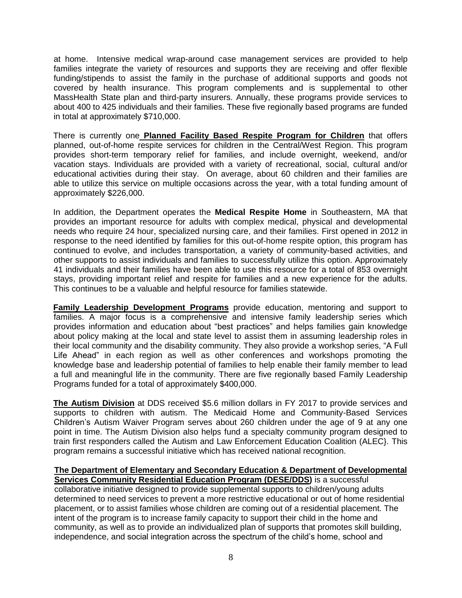at home. Intensive medical wrap-around case management services are provided to help families integrate the variety of resources and supports they are receiving and offer flexible funding/stipends to assist the family in the purchase of additional supports and goods not covered by health insurance. This program complements and is supplemental to other MassHealth State plan and third-party insurers. Annually, these programs provide services to about 400 to 425 individuals and their families. These five regionally based programs are funded in total at approximately \$710,000.

There is currently one **Planned Facility Based Respite Program for Children** that offers planned, out-of-home respite services for children in the Central/West Region. This program provides short-term temporary relief for families, and include overnight, weekend, and/or vacation stays. Individuals are provided with a variety of recreational, social, cultural and/or educational activities during their stay. On average, about 60 children and their families are able to utilize this service on multiple occasions across the year, with a total funding amount of approximately \$226,000.

In addition, the Department operates the **Medical Respite Home** in Southeastern, MA that provides an important resource for adults with complex medical, physical and developmental needs who require 24 hour, specialized nursing care, and their families. First opened in 2012 in response to the need identified by families for this out-of-home respite option, this program has continued to evolve, and includes transportation, a variety of community-based activities, and other supports to assist individuals and families to successfully utilize this option. Approximately 41 individuals and their families have been able to use this resource for a total of 853 overnight stays, providing important relief and respite for families and a new experience for the adults. This continues to be a valuable and helpful resource for families statewide.

**Family Leadership Development Programs** provide education, mentoring and support to families. A major focus is a comprehensive and intensive family leadership series which provides information and education about "best practices" and helps families gain knowledge about policy making at the local and state level to assist them in assuming leadership roles in their local community and the disability community. They also provide a workshop series, "A Full Life Ahead" in each region as well as other conferences and workshops promoting the knowledge base and leadership potential of families to help enable their family member to lead a full and meaningful life in the community. There are five regionally based Family Leadership Programs funded for a total of approximately \$400,000.

**The Autism Division** at DDS received \$5.6 million dollars in FY 2017 to provide services and supports to children with autism. The Medicaid Home and Community-Based Services Children's Autism Waiver Program serves about 260 children under the age of 9 at any one point in time. The Autism Division also helps fund a specialty community program designed to train first responders called the Autism and Law Enforcement Education Coalition (ALEC}. This program remains a successful initiative which has received national recognition.

#### **The Department of Elementary and Secondary Education & Department of Developmental Services Community Residential Education Program (DESE/DDS)** is a successful

collaborative initiative designed to provide supplemental supports to children/young adults determined to need services to prevent a more restrictive educational or out of home residential placement, or to assist families whose children are coming out of a residential placement. The intent of the program is to increase family capacity to support their child in the home and community, as well as to provide an individualized plan of supports that promotes skill building, independence, and social integration across the spectrum of the child's home, school and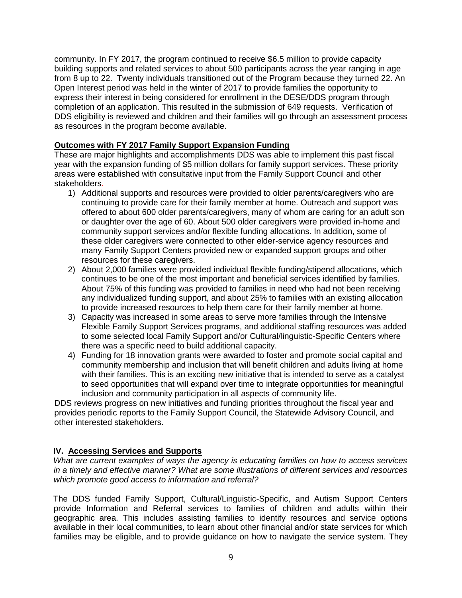community. In FY 2017, the program continued to receive \$6.5 million to provide capacity building supports and related services to about 500 participants across the year ranging in age from 8 up to 22. Twenty individuals transitioned out of the Program because they turned 22. An Open Interest period was held in the winter of 2017 to provide families the opportunity to express their interest in being considered for enrollment in the DESE/DDS program through completion of an application. This resulted in the submission of 649 requests. Verification of DDS eligibility is reviewed and children and their families will go through an assessment process as resources in the program become available.

# **Outcomes with FY 2017 Family Support Expansion Funding**

These are major highlights and accomplishments DDS was able to implement this past fiscal year with the expansion funding of \$5 million dollars for family support services. These priority areas were established with consultative input from the Family Support Council and other stakeholders.

- 1) Additional supports and resources were provided to older parents/caregivers who are continuing to provide care for their family member at home. Outreach and support was offered to about 600 older parents/caregivers, many of whom are caring for an adult son or daughter over the age of 60. About 500 older caregivers were provided in-home and community support services and/or flexible funding allocations. In addition, some of these older caregivers were connected to other elder-service agency resources and many Family Support Centers provided new or expanded support groups and other resources for these caregivers.
- 2) About 2,000 families were provided individual flexible funding/stipend allocations, which continues to be one of the most important and beneficial services identified by families. About 75% of this funding was provided to families in need who had not been receiving any individualized funding support, and about 25% to families with an existing allocation to provide increased resources to help them care for their family member at home.
- 3) Capacity was increased in some areas to serve more families through the Intensive Flexible Family Support Services programs, and additional staffing resources was added to some selected local Family Support and/or Cultural/linguistic-Specific Centers where there was a specific need to build additional capacity.
- 4) Funding for 18 innovation grants were awarded to foster and promote social capital and community membership and inclusion that will benefit children and adults living at home with their families. This is an exciting new initiative that is intended to serve as a catalyst to seed opportunities that will expand over time to integrate opportunities for meaningful inclusion and community participation in all aspects of community life.

DDS reviews progress on new initiatives and funding priorities throughout the fiscal year and provides periodic reports to the Family Support Council, the Statewide Advisory Council, and other interested stakeholders.

# **IV. Accessing Services and Supports**

*What are current examples of ways the agency is educating families on how to access services in a timely and effective manner? What are some illustrations of different services and resources which promote good access to information and referral?*

The DDS funded Family Support, Cultural/Linguistic-Specific, and Autism Support Centers provide Information and Referral services to families of children and adults within their geographic area. This includes assisting families to identify resources and service options available in their local communities, to learn about other financial and/or state services for which families may be eligible, and to provide guidance on how to navigate the service system. They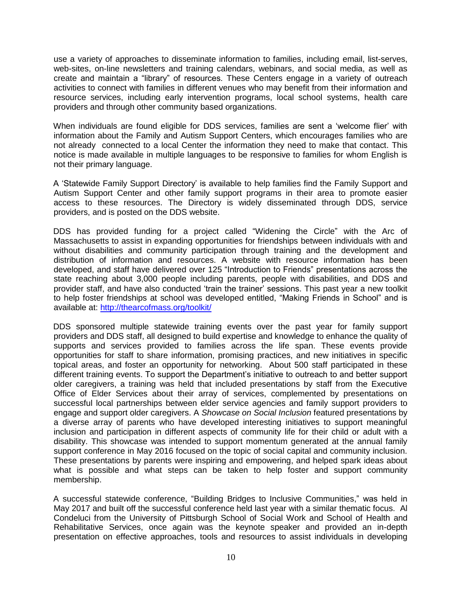use a variety of approaches to disseminate information to families, including email, list-serves, web-sites, on-line newsletters and training calendars, webinars, and social media, as well as create and maintain a "library" of resources. These Centers engage in a variety of outreach activities to connect with families in different venues who may benefit from their information and resource services, including early intervention programs, local school systems, health care providers and through other community based organizations.

When individuals are found eligible for DDS services, families are sent a 'welcome flier' with information about the Family and Autism Support Centers, which encourages families who are not already connected to a local Center the information they need to make that contact. This notice is made available in multiple languages to be responsive to families for whom English is not their primary language.

A 'Statewide Family Support Directory' is available to help families find the Family Support and Autism Support Center and other family support programs in their area to promote easier access to these resources. The Directory is widely disseminated through DDS, service providers, and is posted on the DDS website.

DDS has provided funding for a project called "Widening the Circle" with the Arc of Massachusetts to assist in expanding opportunities for friendships between individuals with and without disabilities and community participation through training and the development and distribution of information and resources. A website with resource information has been developed, and staff have delivered over 125 "Introduction to Friends" presentations across the state reaching about 3,000 people including parents, people with disabilities, and DDS and provider staff, and have also conducted 'train the trainer' sessions. This past year a new toolkit to help foster friendships at school was developed entitled, "Making Friends in School" and is available at:<http://thearcofmass.org/toolkit/>

DDS sponsored multiple statewide training events over the past year for family support providers and DDS staff, all designed to build expertise and knowledge to enhance the quality of supports and services provided to families across the life span. These events provide opportunities for staff to share information, promising practices, and new initiatives in specific topical areas, and foster an opportunity for networking. About 500 staff participated in these different training events. To support the Department's initiative to outreach to and better support older caregivers, a training was held that included presentations by staff from the Executive Office of Elder Services about their array of services, complemented by presentations on successful local partnerships between elder service agencies and family support providers to engage and support older caregivers. A *Showcase on Social Inclusion* featured presentations by a diverse array of parents who have developed interesting initiatives to support meaningful inclusion and participation in different aspects of community life for their child or adult with a disability. This showcase was intended to support momentum generated at the annual family support conference in May 2016 focused on the topic of social capital and community inclusion. These presentations by parents were inspiring and empowering, and helped spark ideas about what is possible and what steps can be taken to help foster and support community membership.

A successful statewide conference, "Building Bridges to Inclusive Communities," was held in May 2017 and built off the successful conference held last year with a similar thematic focus. Al Condeluci from the University of Pittsburgh School of Social Work and School of Health and Rehabilitative Services, once again was the keynote speaker and provided an in-depth presentation on effective approaches, tools and resources to assist individuals in developing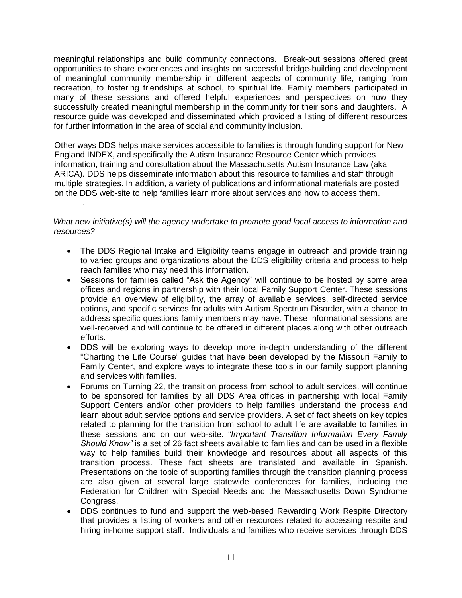meaningful relationships and build community connections. Break-out sessions offered great opportunities to share experiences and insights on successful bridge-building and development of meaningful community membership in different aspects of community life, ranging from recreation, to fostering friendships at school, to spiritual life. Family members participated in many of these sessions and offered helpful experiences and perspectives on how they successfully created meaningful membership in the community for their sons and daughters. A resource guide was developed and disseminated which provided a listing of different resources for further information in the area of social and community inclusion.

Other ways DDS helps make services accessible to families is through funding support for New England INDEX, and specifically the Autism Insurance Resource Center which provides information, training and consultation about the Massachusetts Autism Insurance Law (aka ARICA). DDS helps disseminate information about this resource to families and staff through multiple strategies. In addition, a variety of publications and informational materials are posted on the DDS web-site to help families learn more about services and how to access them.

#### *What new initiative(s) will the agency undertake to promote good local access to information and resources?*

.

- The DDS Regional Intake and Eligibility teams engage in outreach and provide training to varied groups and organizations about the DDS eligibility criteria and process to help reach families who may need this information.
- Sessions for families called "Ask the Agency" will continue to be hosted by some area offices and regions in partnership with their local Family Support Center. These sessions provide an overview of eligibility, the array of available services, self-directed service options, and specific services for adults with Autism Spectrum Disorder, with a chance to address specific questions family members may have. These informational sessions are well-received and will continue to be offered in different places along with other outreach efforts.
- DDS will be exploring ways to develop more in-depth understanding of the different "Charting the Life Course" guides that have been developed by the Missouri Family to Family Center, and explore ways to integrate these tools in our family support planning and services with families.
- Forums on Turning 22, the transition process from school to adult services, will continue to be sponsored for families by all DDS Area offices in partnership with local Family Support Centers and/or other providers to help families understand the process and learn about adult service options and service providers. A set of fact sheets on key topics related to planning for the transition from school to adult life are available to families in these sessions and on our web-site. "*Important Transition Information Every Family Should Know"* is a set of 26 fact sheets available to families and can be used in a flexible way to help families build their knowledge and resources about all aspects of this transition process. These fact sheets are translated and available in Spanish. Presentations on the topic of supporting families through the transition planning process are also given at several large statewide conferences for families, including the Federation for Children with Special Needs and the Massachusetts Down Syndrome Congress.
- DDS continues to fund and support the web-based Rewarding Work Respite Directory that provides a listing of workers and other resources related to accessing respite and hiring in-home support staff. Individuals and families who receive services through DDS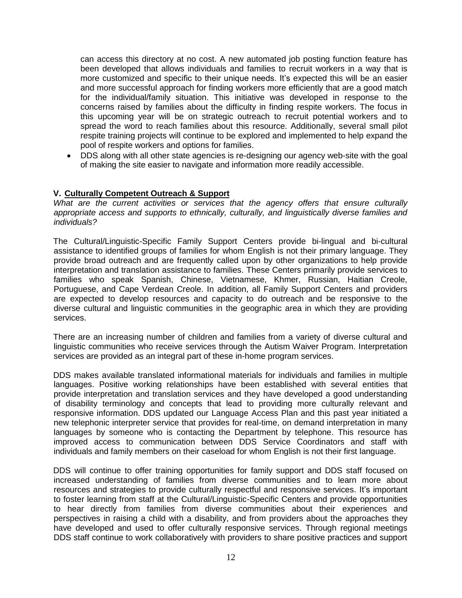can access this directory at no cost. A new automated job posting function feature has been developed that allows individuals and families to recruit workers in a way that is more customized and specific to their unique needs. It's expected this will be an easier and more successful approach for finding workers more efficiently that are a good match for the individual/family situation. This initiative was developed in response to the concerns raised by families about the difficulty in finding respite workers. The focus in this upcoming year will be on strategic outreach to recruit potential workers and to spread the word to reach families about this resource. Additionally, several small pilot respite training projects will continue to be explored and implemented to help expand the pool of respite workers and options for families.

• DDS along with all other state agencies is re-designing our agency web-site with the goal of making the site easier to navigate and information more readily accessible.

#### **V. Culturally Competent Outreach & Support**

*What are the current activities or services that the agency offers that ensure culturally appropriate access and supports to ethnically, culturally, and linguistically diverse families and individuals?*

The Cultural/Linguistic-Specific Family Support Centers provide bi-lingual and bi-cultural assistance to identified groups of families for whom English is not their primary language. They provide broad outreach and are frequently called upon by other organizations to help provide interpretation and translation assistance to families. These Centers primarily provide services to families who speak Spanish, Chinese, Vietnamese, Khmer, Russian, Haitian Creole, Portuguese, and Cape Verdean Creole. In addition, all Family Support Centers and providers are expected to develop resources and capacity to do outreach and be responsive to the diverse cultural and linguistic communities in the geographic area in which they are providing services.

There are an increasing number of children and families from a variety of diverse cultural and linguistic communities who receive services through the Autism Waiver Program. Interpretation services are provided as an integral part of these in-home program services.

DDS makes available translated informational materials for individuals and families in multiple languages. Positive working relationships have been established with several entities that provide interpretation and translation services and they have developed a good understanding of disability terminology and concepts that lead to providing more culturally relevant and responsive information. DDS updated our Language Access Plan and this past year initiated a new telephonic interpreter service that provides for real-time, on demand interpretation in many languages by someone who is contacting the Department by telephone. This resource has improved access to communication between DDS Service Coordinators and staff with individuals and family members on their caseload for whom English is not their first language.

DDS will continue to offer training opportunities for family support and DDS staff focused on increased understanding of families from diverse communities and to learn more about resources and strategies to provide culturally respectful and responsive services. It's important to foster learning from staff at the Cultural/Linguistic-Specific Centers and provide opportunities to hear directly from families from diverse communities about their experiences and perspectives in raising a child with a disability, and from providers about the approaches they have developed and used to offer culturally responsive services. Through regional meetings DDS staff continue to work collaboratively with providers to share positive practices and support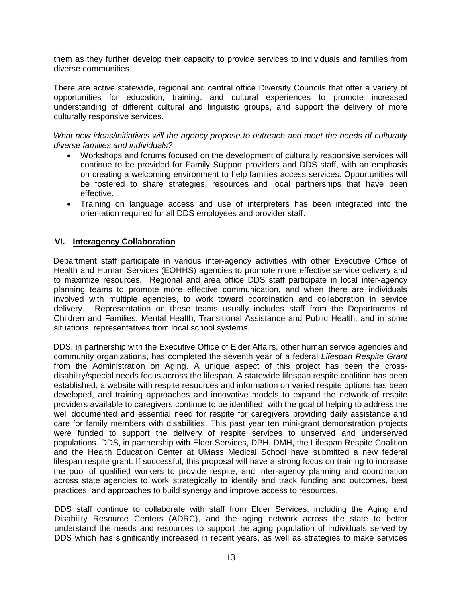them as they further develop their capacity to provide services to individuals and families from diverse communities.

There are active statewide, regional and central office Diversity Councils that offer a variety of opportunities for education, training, and cultural experiences to promote increased understanding of different cultural and linguistic groups, and support the delivery of more culturally responsive services.

*What new ideas/initiatives will the agency propose to outreach and meet the needs of culturally diverse families and individuals?*

- Workshops and forums focused on the development of culturally responsive services will continue to be provided for Family Support providers and DDS staff, with an emphasis on creating a welcoming environment to help families access services. Opportunities will be fostered to share strategies, resources and local partnerships that have been effective.
- Training on language access and use of interpreters has been integrated into the orientation required for all DDS employees and provider staff.

## **VI. Interagency Collaboration**

Department staff participate in various inter-agency activities with other Executive Office of Health and Human Services (EOHHS) agencies to promote more effective service delivery and to maximize resources. Regional and area office DDS staff participate in local inter-agency planning teams to promote more effective communication, and when there are individuals involved with multiple agencies, to work toward coordination and collaboration in service delivery. Representation on these teams usually includes staff from the Departments of Children and Families, Mental Health, Transitional Assistance and Public Health, and in some situations, representatives from local school systems.

DDS, in partnership with the Executive Office of Elder Affairs, other human service agencies and community organizations, has completed the seventh year of a federal *Lifespan Respite Grant* from the Administration on Aging. A unique aspect of this project has been the crossdisability/special needs focus across the lifespan. A statewide lifespan respite coalition has been established, a website with respite resources and information on varied respite options has been developed, and training approaches and innovative models to expand the network of respite providers available to caregivers continue to be identified, with the goal of helping to address the well documented and essential need for respite for caregivers providing daily assistance and care for family members with disabilities. This past year ten mini-grant demonstration projects were funded to support the delivery of respite services to unserved and underserved populations. DDS, in partnership with Elder Services, DPH, DMH, the Lifespan Respite Coalition and the Health Education Center at UMass Medical School have submitted a new federal lifespan respite grant. If successful, this proposal will have a strong focus on training to increase the pool of qualified workers to provide respite, and inter-agency planning and coordination across state agencies to work strategically to identify and track funding and outcomes, best practices, and approaches to build synergy and improve access to resources.

DDS staff continue to collaborate with staff from Elder Services, including the Aging and Disability Resource Centers (ADRC), and the aging network across the state to better understand the needs and resources to support the aging population of individuals served by DDS which has significantly increased in recent years, as well as strategies to make services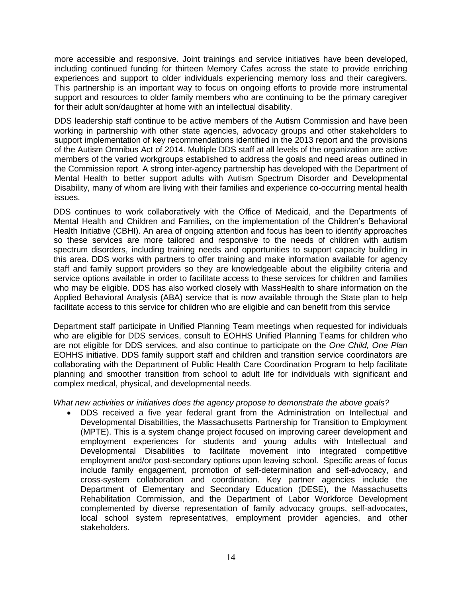more accessible and responsive. Joint trainings and service initiatives have been developed, including continued funding for thirteen Memory Cafes across the state to provide enriching experiences and support to older individuals experiencing memory loss and their caregivers. This partnership is an important way to focus on ongoing efforts to provide more instrumental support and resources to older family members who are continuing to be the primary caregiver for their adult son/daughter at home with an intellectual disability.

DDS leadership staff continue to be active members of the Autism Commission and have been working in partnership with other state agencies, advocacy groups and other stakeholders to support implementation of key recommendations identified in the 2013 report and the provisions of the Autism Omnibus Act of 2014. Multiple DDS staff at all levels of the organization are active members of the varied workgroups established to address the goals and need areas outlined in the Commission report. A strong inter-agency partnership has developed with the Department of Mental Health to better support adults with Autism Spectrum Disorder and Developmental Disability, many of whom are living with their families and experience co-occurring mental health issues.

DDS continues to work collaboratively with the Office of Medicaid, and the Departments of Mental Health and Children and Families, on the implementation of the Children's Behavioral Health Initiative (CBHI). An area of ongoing attention and focus has been to identify approaches so these services are more tailored and responsive to the needs of children with autism spectrum disorders, including training needs and opportunities to support capacity building in this area. DDS works with partners to offer training and make information available for agency staff and family support providers so they are knowledgeable about the eligibility criteria and service options available in order to facilitate access to these services for children and families who may be eligible. DDS has also worked closely with MassHealth to share information on the Applied Behavioral Analysis (ABA) service that is now available through the State plan to help facilitate access to this service for children who are eligible and can benefit from this service

Department staff participate in Unified Planning Team meetings when requested for individuals who are eligible for DDS services, consult to EOHHS Unified Planning Teams for children who are not eligible for DDS services, and also continue to participate on the *One Child, One Plan*  EOHHS initiative. DDS family support staff and children and transition service coordinators are collaborating with the Department of Public Health Care Coordination Program to help facilitate planning and smoother transition from school to adult life for individuals with significant and complex medical, physical, and developmental needs.

*What new activities or initiatives does the agency propose to demonstrate the above goals?*

• DDS received a five year federal grant from the Administration on Intellectual and Developmental Disabilities, the Massachusetts Partnership for Transition to Employment (MPTE). This is a system change project focused on improving career development and employment experiences for students and young adults with Intellectual and Developmental Disabilities to facilitate movement into integrated competitive employment and/or post-secondary options upon leaving school. Specific areas of focus include family engagement, promotion of self-determination and self-advocacy, and cross-system collaboration and coordination. Key partner agencies include the Department of Elementary and Secondary Education (DESE), the Massachusetts Rehabilitation Commission, and the Department of Labor Workforce Development complemented by diverse representation of family advocacy groups, self-advocates, local school system representatives, employment provider agencies, and other stakeholders.